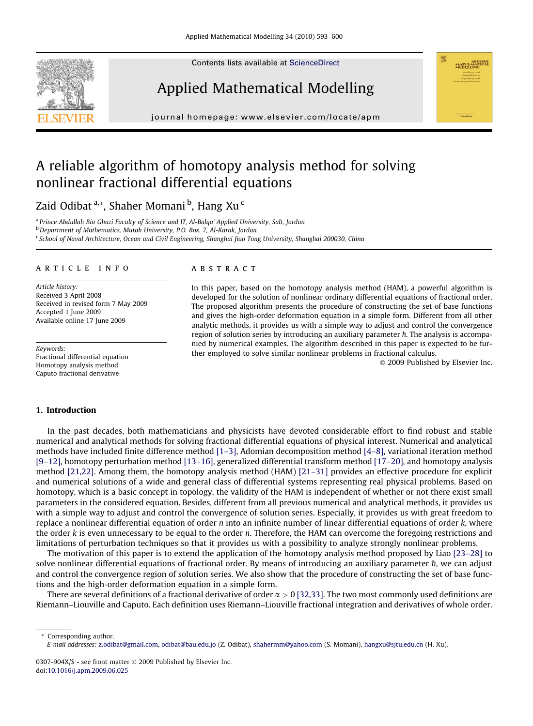Contents lists available at [ScienceDirect](http://www.sciencedirect.com/science/journal/0307904X)





journal homepage: [www.elsevier.com/locate/apm](http://www.elsevier.com/locate/apm)

# A reliable algorithm of homotopy analysis method for solving nonlinear fractional differential equations

Zaid Odibat <sup>a,</sup>\*, Shaher Momani <sup>b</sup>, Hang Xu <sup>c</sup>

<sup>a</sup> Prince Abdullah Bin Ghazi Faculty of Science and IT, Al-Balqa' Applied University, Salt, Jordan

<sup>b</sup> Department of Mathematics, Mutah University, P.O. Box. 7, Al-Karak, Jordan

<sup>c</sup> School of Naval Architecture, Ocean and Civil Engineering, Shanghai Jiao Tong University, Shanghai 200030, China

## article info

Article history: Received 3 April 2008 Received in revised form 7 May 2009 Accepted 1 June 2009 Available online 17 June 2009

Keywords: Fractional differential equation Homotopy analysis method Caputo fractional derivative

## **ABSTRACT**

In this paper, based on the homotopy analysis method (HAM), a powerful algorithm is developed for the solution of nonlinear ordinary differential equations of fractional order. The proposed algorithm presents the procedure of constructing the set of base functions and gives the high-order deformation equation in a simple form. Different from all other analytic methods, it provides us with a simple way to adjust and control the convergence region of solution series by introducing an auxiliary parameter  $h$ . The analysis is accompanied by numerical examples. The algorithm described in this paper is expected to be further employed to solve similar nonlinear problems in fractional calculus.

 $© 2009$  Published by Elsevier Inc.

**HATLE ALTHERI** 

## 1. Introduction

In the past decades, both mathematicians and physicists have devoted considerable effort to find robust and stable numerical and analytical methods for solving fractional differential equations of physical interest. Numerical and analytical methods have included finite difference method [\[1–3\]](#page-7-0), Adomian decomposition method [\[4–8\]](#page-7-0), variational iteration method [\[9–12\],](#page-7-0) homotopy perturbation method [\[13–16\],](#page-7-0) generalized differential transform method [\[17–20\],](#page-7-0) and homotopy analysis method [\[21,22\].](#page-7-0) Among them, the homotopy analysis method (HAM) [\[21–31\]](#page-7-0) provides an effective procedure for explicit and numerical solutions of a wide and general class of differential systems representing real physical problems. Based on homotopy, which is a basic concept in topology, the validity of the HAM is independent of whether or not there exist small parameters in the considered equation. Besides, different from all previous numerical and analytical methods, it provides us with a simple way to adjust and control the convergence of solution series. Especially, it provides us with great freedom to replace a nonlinear differential equation of order  $n$  into an infinite number of linear differential equations of order  $k$ , where the order k is even unnecessary to be equal to the order n. Therefore, the HAM can overcome the foregoing restrictions and limitations of perturbation techniques so that it provides us with a possibility to analyze strongly nonlinear problems.

The motivation of this paper is to extend the application of the homotopy analysis method proposed by Liao [\[23–28\]](#page-7-0) to solve nonlinear differential equations of fractional order. By means of introducing an auxiliary parameter h, we can adjust and control the convergence region of solution series. We also show that the procedure of constructing the set of base functions and the high-order deformation equation in a simple form.

There are several definitions of a fractional derivative of order  $\alpha > 0$  [\[32,33\]](#page-7-0). The two most commonly used definitions are Riemann–Liouville and Caputo. Each definition uses Riemann–Liouville fractional integration and derivatives of whole order.

\* Corresponding author. E-mail addresses: [z.odibat@gmail.com](mailto:z.odibat@gmail.com), [odibat@bau.edu.jo](mailto:odibat@bau.edu.jo) (Z. Odibat), [shahermm@yahoo.com](mailto:zaidodibat@yahoo.com) (S. Momani), [hangxu@sjtu.edu.cn](mailto:shahermm@yahoo.com) (H. Xu).

<sup>0307-904</sup>X/\$ - see front matter © 2009 Published by Elsevier Inc. doi:[10.1016/j.apm.2009.06.025](http://dx.doi.org/10.1016/j.apm.2009.06.025)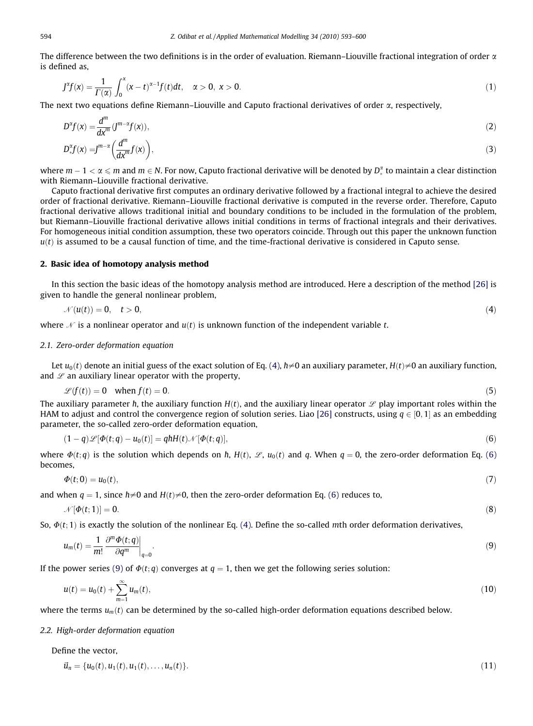<span id="page-1-0"></span>The difference between the two definitions is in the order of evaluation. Riemann–Liouville fractional integration of order  $\alpha$ is defined as,

$$
J^{\alpha}f(x) = \frac{1}{\Gamma(\alpha)} \int_0^x (x - t)^{\alpha - 1} f(t) dt, \quad \alpha > 0, \ x > 0.
$$
 (1)

The next two equations define Riemann–Liouville and Caputo fractional derivatives of order  $\alpha$ , respectively,

$$
D^{\alpha}f(x) = \frac{d^m}{dx^m} (J^{m-\alpha}f(x)),
$$
  
\n
$$
D^{\alpha}_{*}f(x) = J^{m-\alpha} \left(\frac{d^m}{dx^m}f(x)\right),
$$
\n(2)

where  $m-1<\alpha\leqslant m$  and  $m\in N$ . For now, Caputo fractional derivative will be denoted by  $D_*^\alpha$  to maintain a clear distinction with Riemann–Liouville fractional derivative.

Caputo fractional derivative first computes an ordinary derivative followed by a fractional integral to achieve the desired order of fractional derivative. Riemann–Liouville fractional derivative is computed in the reverse order. Therefore, Caputo fractional derivative allows traditional initial and boundary conditions to be included in the formulation of the problem, but Riemann–Liouville fractional derivative allows initial conditions in terms of fractional integrals and their derivatives. For homogeneous initial condition assumption, these two operators coincide. Through out this paper the unknown function  $u(t)$  is assumed to be a causal function of time, and the time-fractional derivative is considered in Caputo sense.

### 2. Basic idea of homotopy analysis method

In this section the basic ideas of the homotopy analysis method are introduced. Here a description of the method [\[26\]](#page-7-0) is given to handle the general nonlinear problem,

$$
\mathcal{N}(u(t)) = 0, \quad t > 0,\tag{4}
$$

where  $\mathcal N$  is a nonlinear operator and  $u(t)$  is unknown function of the independent variable t.

#### 2.1. Zero-order deformation equation

Let  $u_0(t)$  denote an initial guess of the exact solution of Eq. (4),  $h\neq 0$  an auxiliary parameter,  $H(t)\neq 0$  an auxiliary function, and  $L$  an auxiliary linear operator with the property,

$$
\mathcal{L}(f(t)) = 0 \quad \text{when } f(t) = 0. \tag{5}
$$

The auxiliary parameter h, the auxiliary function  $H(t)$ , and the auxiliary linear operator  $\mathscr L$  play important roles within the HAM to adjust and control the convergence region of solution series. Liao [\[26\]](#page-7-0) constructs, using  $q \in [0, 1]$  as an embedding parameter, the so-called zero-order deformation equation,

$$
(1-q)\mathscr{L}[\Phi(t;q)-u_0(t)]=q\hbar H(t)\mathscr{N}[\Phi(t;q)],\qquad (6)
$$

where  $\Phi(t; q)$  is the solution which depends on h,  $H(t)$ ,  $\mathcal{L}$ ,  $u_0(t)$  and q. When  $q = 0$ , the zero-order deformation Eq. (6) becomes,

$$
\Phi(t;0) = u_0(t),\tag{7}
$$

and when  $q = 1$ , since  $\hbar \neq 0$  and  $H(t) \neq 0$ , then the zero-order deformation Eq. (6) reduces to,

$$
\mathcal{N}[\Phi(t;1)] = 0. \tag{8}
$$

So,  $\Phi(t; 1)$  is exactly the solution of the nonlinear Eq. (4). Define the so-called mth order deformation derivatives,

$$
u_m(t) = \frac{1}{m!} \left. \frac{\partial^m \Phi(t; q)}{\partial q^m} \right|_{q=0} . \tag{9}
$$

If the power series (9) of  $\Phi(t; q)$  converges at  $q = 1$ , then we get the following series solution:

$$
u(t) = u_0(t) + \sum_{m=1}^{\infty} u_m(t),
$$
\n(10)

where the terms  $u_m(t)$  can be determined by the so-called high-order deformation equations described below.

#### 2.2. High-order deformation equation

Define the vector,

$$
\vec{u}_n = \{u_0(t), u_1(t), u_1(t), \dots, u_n(t)\}.
$$
\n(11)

$$
f_{\rm{max}}
$$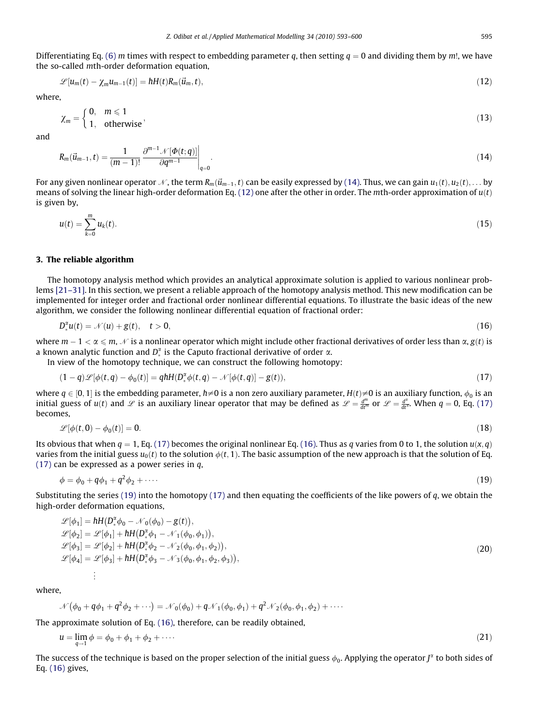<span id="page-2-0"></span>Differentiating Eq. [\(6\)](#page-1-0) m times with respect to embedding parameter q, then setting  $q = 0$  and dividing them by m!, we have the so-called mth-order deformation equation,

$$
\mathscr{L}[u_m(t) - \chi_m u_{m-1}(t)] = hH(t)R_m(\vec{u}_m, t), \qquad (12)
$$

where,

$$
\chi_m = \begin{cases} 0, & m \leq 1 \\ 1, & \text{otherwise} \end{cases}
$$
 (13)

and

$$
R_m(\vec{u}_{m-1},t) = \frac{1}{(m-1)!} \frac{\partial^{m-1} \mathcal{N}[\Phi(t;q)]}{\partial q^{m-1}} \bigg|_{q=0}.
$$
\n(14)

For any given nonlinear operator  $\mathcal N$ , the term  $R_m(\vec u_{m-1},t)$  can be easily expressed by (14). Thus, we can gain  $u_1(t), u_2(t),\ldots$  by means of solving the linear high-order deformation Eq. (12) one after the other in order. The mth-order approximation of  $u(t)$ is given by,

$$
u(t) = \sum_{k=0}^{m} u_k(t).
$$
 (15)

#### 3. The reliable algorithm

The homotopy analysis method which provides an analytical approximate solution is applied to various nonlinear problems [\[21–31\].](#page-7-0) In this section, we present a reliable approach of the homotopy analysis method. This new modification can be implemented for integer order and fractional order nonlinear differential equations. To illustrate the basic ideas of the new algorithm, we consider the following nonlinear differential equation of fractional order:

$$
D_*^{\alpha}u(t) = \mathcal{N}(u) + g(t), \quad t > 0,
$$
\n<sup>(16)</sup>

where  $m-1 < \alpha \leqslant m$ ,  $\mathcal N$  is a nonlinear operator which might include other fractional derivatives of order less than  $\alpha, g(t)$  is a known analytic function and  $D_*^{\alpha}$  is the Caputo fractional derivative of order  $\alpha$ .

In view of the homotopy technique, we can construct the following homotopy:

$$
(1-q)\mathscr{L}[\phi(t,q) - \phi_0(t)] = qhH(D_*^{\alpha}\phi(t,q) - \mathscr{N}[\phi(t,q)] - g(t)),
$$
\n(17)

where  $q\in[0,1]$  is the embedding parameter,  $\hbar\neq0$  is a non zero auxiliary parameter,  $H(t)\neq0$  is an auxiliary function,  $\phi_0$  is an initial guess of  $u(t)$  and  $L$  is an auxiliary linear operator that may be defined as  $L = \frac{d^m}{dt^m}$  or  $L = \frac{d^2}{dt^m}$ . When  $q = 0$ , Eq. (17) becomes,

$$
\mathcal{L}[\phi(t,0)-\phi_0(t)]=0.\tag{18}
$$

Its obvious that when  $q = 1$ , Eq. (17) becomes the original nonlinear Eq. (16). Thus as q varies from 0 to 1, the solution  $u(x, q)$ varies from the initial guess  $u_0(t)$  to the solution  $\phi(t, 1)$ . The basic assumption of the new approach is that the solution of Eq. (17) can be expressed as a power series in  $q$ ,

$$
\phi = \phi_0 + q\phi_1 + q^2\phi_2 + \cdots \tag{19}
$$

Substituting the series (19) into the homotopy (17) and then equating the coefficients of the like powers of  $q$ , we obtain the high-order deformation equations,

$$
\mathcal{L}[\phi_1] = hH(D^{\alpha}_{*}\phi_0 - \mathcal{N}_0(\phi_0) - g(t)), \n\mathcal{L}[\phi_2] = \mathcal{L}[\phi_1] + hH(D^{\alpha}_{*}\phi_1 - \mathcal{N}_1(\phi_0, \phi_1)), \n\mathcal{L}[\phi_3] = \mathcal{L}[\phi_2] + hH(D^{\alpha}_{*}\phi_2 - \mathcal{N}_2(\phi_0, \phi_1, \phi_2)), \n\mathcal{L}[\phi_4] = \mathcal{L}[\phi_3] + hH(D^{\alpha}_{*}\phi_3 - \mathcal{N}_3(\phi_0, \phi_1, \phi_2, \phi_3)), \n\vdots
$$
\n(20)

where,

$$
\mathcal{N}(\phi_0 + q\phi_1 + q^2\phi_2 + \cdots) = \mathcal{N}_0(\phi_0) + q\mathcal{N}_1(\phi_0, \phi_1) + q^2\mathcal{N}_2(\phi_0, \phi_1, \phi_2) + \cdots
$$

The approximate solution of Eq. (16), therefore, can be readily obtained,

$$
u = \lim_{a \to 1} \phi = \phi_0 + \phi_1 + \phi_2 + \cdots \tag{21}
$$

The success of the technique is based on the proper selection of the initial guess  $\phi_0$ . Applying the operator  $J^{\alpha}$  to both sides of Eq. (16) gives,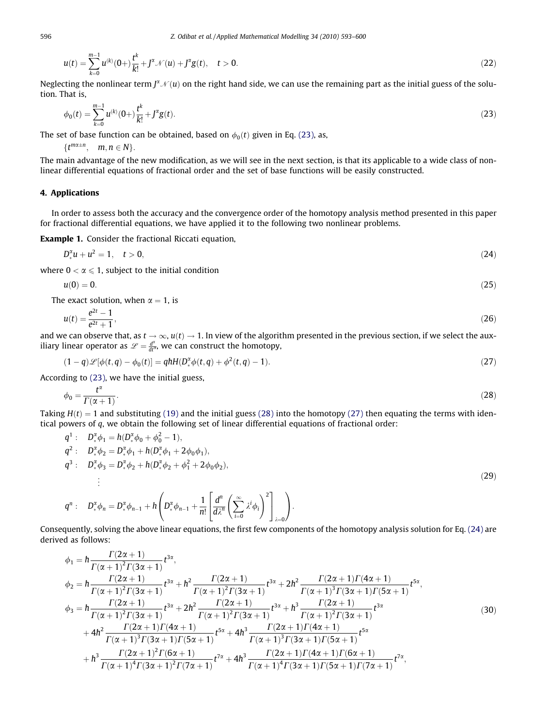$$
u(t) = \sum_{k=0}^{m-1} u^{(k)}(0+) \frac{t^k}{k!} + J^{\alpha} \mathcal{N}(u) + J^{\alpha} g(t), \quad t > 0.
$$
 (22)

Neglecting the nonlinear term  $J^{\alpha}$   $\mathcal{N}(u)$  on the right hand side, we can use the remaining part as the initial guess of the solution. That is,

$$
\phi_0(t) = \sum_{k=0}^{m-1} u^{(k)}(0+) \frac{t^k}{k!} + J^{\alpha} g(t).
$$
\n(23)

The set of base function can be obtained, based on  $\phi_0(t)$  given in Eq. (23), as,

 $\{t^{m\alpha \pm n}, \quad m, n \in N\}.$ 

The main advantage of the new modification, as we will see in the next section, is that its applicable to a wide class of nonlinear differential equations of fractional order and the set of base functions will be easily constructed.

## 4. Applications

In order to assess both the accuracy and the convergence order of the homotopy analysis method presented in this paper for fractional differential equations, we have applied it to the following two nonlinear problems.

Example 1. Consider the fractional Riccati equation,

$$
D_{*}^{\alpha}u + u^{2} = 1, \quad t > 0,
$$
\n(24)

where  $0 < \alpha \leq 1$ , subject to the initial condition

$$
u(0) = 0.\tag{25}
$$

The exact solution, when  $\alpha = 1$ , is

$$
u(t) = \frac{e^{2t} - 1}{e^{2t} + 1},\tag{26}
$$

and we can observe that, as  $t \to \infty$ ,  $u(t) \to 1$ . In view of the algorithm presented in the previous section, if we select the auxiliary linear operator as  $\mathscr{L} = \frac{d^{\alpha}}{dt^{\alpha}}$ , we can construct the homotopy,

$$
(1-q)\mathcal{L}[\phi(t,q) - \phi_0(t)] = q\hbar H(D_*^{\alpha}\phi(t,q) + \phi^2(t,q) - 1).
$$
\n(27)

According to (23), we have the initial guess,

$$
\phi_0 = \frac{t^{\alpha}}{\Gamma(\alpha + 1)}.\tag{28}
$$

Taking  $H(t) = 1$  and substituting [\(19\)](#page-2-0) and the initial guess (28) into the homotopy (27) then equating the terms with identical powers of  $q$ , we obtain the following set of linear differential equations of fractional order:  $\overline{a}$ 

$$
q^{1}: D_{*}^{x}\phi_{1} = h(D_{*}^{x}\phi_{0} + \phi_{0}^{2} - 1),
$$
  
\n
$$
q^{2}: D_{*}^{x}\phi_{2} = D_{*}^{x}\phi_{1} + h(D_{*}^{x}\phi_{1} + 2\phi_{0}\phi_{1}),
$$
  
\n
$$
q^{3}: D_{*}^{x}\phi_{3} = D_{*}^{x}\phi_{2} + h(D_{*}^{x}\phi_{2} + \phi_{1}^{2} + 2\phi_{0}\phi_{2}),
$$
  
\n
$$
\vdots
$$
  
\n
$$
q^{n}: D_{*}^{x}\phi_{n} = D_{*}^{x}\phi_{n-1} + h\left(D_{*}^{x}\phi_{n-1} + \frac{1}{n!}\left[\frac{d^{n}}{d\lambda^{n}}\left(\sum_{i=0}^{\infty}\lambda^{i}\phi_{i}\right)^{2}\right]_{i=0}\right).
$$
\n(29)

 $\lambda = 0$ 

Consequently, solving the above linear equations, the first few components of the homotopy analysis solution for Eq. (24) are derived as follows:

 $i=0$ 

$$
\phi_{1} = h \frac{\Gamma(2\alpha + 1)}{\Gamma(\alpha + 1)^{2} \Gamma(3\alpha + 1)} t^{3\alpha},
$$
\n
$$
\phi_{2} = h \frac{\Gamma(2\alpha + 1)}{\Gamma(\alpha + 1)^{2} \Gamma(3\alpha + 1)} t^{3\alpha} + h^{2} \frac{\Gamma(2\alpha + 1)}{\Gamma(\alpha + 1)^{2} \Gamma(3\alpha + 1)} t^{3\alpha} + 2h^{2} \frac{\Gamma(2\alpha + 1)\Gamma(4\alpha + 1)}{\Gamma(\alpha + 1)^{3} \Gamma(3\alpha + 1)\Gamma(5\alpha + 1)} t^{5\alpha},
$$
\n
$$
\phi_{3} = h \frac{\Gamma(2\alpha + 1)}{\Gamma(\alpha + 1)^{2} \Gamma(3\alpha + 1)} t^{3\alpha} + 2h^{2} \frac{\Gamma(2\alpha + 1)}{\Gamma(\alpha + 1)^{2} \Gamma(3\alpha + 1)} t^{3\alpha} + h^{3} \frac{\Gamma(2\alpha + 1)}{\Gamma(\alpha + 1)^{2} \Gamma(3\alpha + 1)} t^{3\alpha}
$$
\n
$$
+ 4h^{2} \frac{\Gamma(2\alpha + 1)\Gamma(4\alpha + 1)}{\Gamma(\alpha + 1)^{3} \Gamma(3\alpha + 1)\Gamma(5\alpha + 1)} t^{5\alpha} + 4h^{3} \frac{\Gamma(2\alpha + 1)\Gamma(4\alpha + 1)}{\Gamma(\alpha + 1)^{3} \Gamma(3\alpha + 1)\Gamma(5\alpha + 1)} t^{5\alpha}
$$
\n
$$
+ h^{3} \frac{\Gamma(2\alpha + 1)^{2} \Gamma(6\alpha + 1)}{\Gamma(\alpha + 1)^{4} \Gamma(3\alpha + 1)^{2} \Gamma(7\alpha + 1)} t^{7\alpha} + 4h^{3} \frac{\Gamma(2\alpha + 1)\Gamma(4\alpha + 1)\Gamma(6\alpha + 1)}{\Gamma(\alpha + 1)^{4} \Gamma(3\alpha + 1)\Gamma(5\alpha + 1)\Gamma(7\alpha + 1)} t^{7\alpha},
$$
\n(30)

<span id="page-3-0"></span>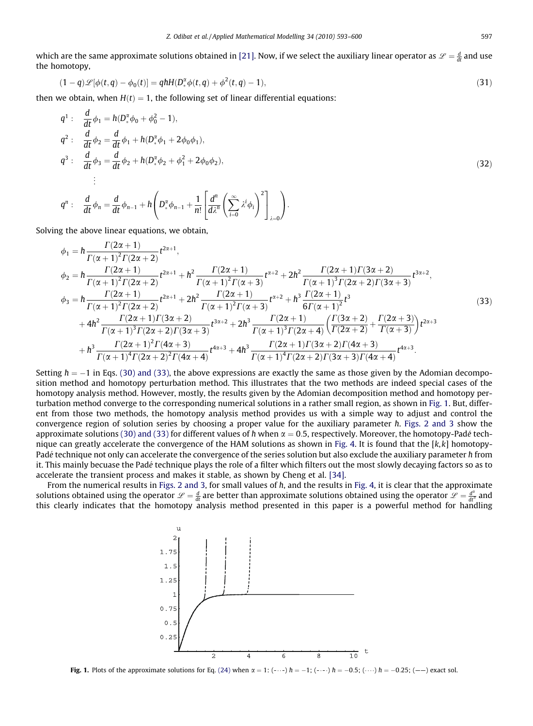<span id="page-4-0"></span>which are the same approximate solutions obtained in [\[21\].](#page-7-0) Now, if we select the auxiliary linear operator as  $\mathscr L=\frac{d}{dt}$  and use the homotopy,

$$
(1-q)\mathcal{L}[\phi(t,q) - \phi_0(t)] = qhH(D_*^{\alpha}\phi(t,q) + \phi^2(t,q) - 1),
$$
\n(31)

then we obtain, when  $H(t) = 1$ , the following set of linear differential equations:

$$
q^{1}: \frac{d}{dt}\phi_{1} = h(D_{*}^{2}\phi_{0} + \phi_{0}^{2} - 1),
$$
  
\n
$$
q^{2}: \frac{d}{dt}\phi_{2} = \frac{d}{dt}\phi_{1} + h(D_{*}^{2}\phi_{1} + 2\phi_{0}\phi_{1}),
$$
  
\n
$$
q^{3}: \frac{d}{dt}\phi_{3} = \frac{d}{dt}\phi_{2} + h(D_{*}^{2}\phi_{2} + \phi_{1}^{2} + 2\phi_{0}\phi_{2}),
$$
  
\n
$$
\vdots
$$
\n(32)

$$
q^n: \quad \frac{d}{dt}\phi_n=\frac{d}{dt}\phi_{n-1}+h\left(D_*^{\alpha}\phi_{n-1}+\frac{1}{n!}\left[\frac{d^n}{d\lambda^n}\left(\sum_{i=0}^{\infty}\lambda^i\phi_i\right)^2\right]_{\lambda=0}\right).
$$

Solving the above linear equations, we obtain,

$$
\phi_{1} = h \frac{\Gamma(2\alpha+1)}{\Gamma(\alpha+1)^{2}\Gamma(2\alpha+2)} t^{2\alpha+1},
$$
\n
$$
\phi_{2} = h \frac{\Gamma(2\alpha+1)}{\Gamma(\alpha+1)^{2}\Gamma(2\alpha+2)} t^{2\alpha+1} + h^{2} \frac{\Gamma(2\alpha+1)}{\Gamma(\alpha+1)^{2}\Gamma(\alpha+3)} t^{\alpha+2} + 2h^{2} \frac{\Gamma(2\alpha+1)\Gamma(3\alpha+2)}{\Gamma(\alpha+1)^{3}\Gamma(2\alpha+2)\Gamma(3\alpha+3)} t^{3\alpha+2},
$$
\n
$$
\phi_{3} = h \frac{\Gamma(2\alpha+1)}{\Gamma(\alpha+1)^{2}\Gamma(2\alpha+2)} t^{2\alpha+1} + 2h^{2} \frac{\Gamma(2\alpha+1)}{\Gamma(\alpha+1)^{2}\Gamma(\alpha+3)} t^{\alpha+2} + h^{3} \frac{\Gamma(2\alpha+1)}{6\Gamma(\alpha+1)^{2}} t^{3}
$$
\n
$$
+ 4h^{2} \frac{\Gamma(2\alpha+1)\Gamma(3\alpha+2)}{\Gamma(\alpha+1)^{3}\Gamma(2\alpha+2)\Gamma(3\alpha+3)} t^{3\alpha+2} + 2h^{3} \frac{\Gamma(2\alpha+1)}{\Gamma(\alpha+1)^{3}\Gamma(2\alpha+4)} \left(\frac{\Gamma(3\alpha+2)}{\Gamma(2\alpha+2)} + \frac{\Gamma(2\alpha+3)}{\Gamma(\alpha+3)}\right) t^{2\alpha+3}
$$
\n
$$
+ h^{3} \frac{\Gamma(2\alpha+1)^{2}\Gamma(4\alpha+3)}{\Gamma(\alpha+1)^{4}\Gamma(2\alpha+2)^{2}\Gamma(4\alpha+4)} t^{4\alpha+3} + 4h^{3} \frac{\Gamma(2\alpha+1)\Gamma(3\alpha+2)\Gamma(4\alpha+3)}{\Gamma(\alpha+1)^{4}\Gamma(2\alpha+2)\Gamma(3\alpha+3)\Gamma(4\alpha+4)} t^{4\alpha+3}.
$$
\n(33)

Setting  $\hbar=-1$  in Eqs. [\(30\) and \(33\),](#page-3-0) the above expressions are exactly the same as those given by the Adomian decomposition method and homotopy perturbation method. This illustrates that the two methods are indeed special cases of the homotopy analysis method. However, mostly, the results given by the Adomian decomposition method and homotopy perturbation method converge to the corresponding numerical solutions in a rather small region, as shown in Fig. 1. But, different from those two methods, the homotopy analysis method provides us with a simple way to adjust and control the convergence region of solution series by choosing a proper value for the auxiliary parameter ħ. [Figs. 2 and 3](#page-5-0) show the approximate solutions [\(30\) and \(33\)](#page-3-0) for different values of  $\hbar$  when  $\alpha=0.5$ , respectively. Moreover, the homotopy-Padé tech-nique can greatly accelerate the convergence of the HAM solutions as shown in [Fig. 4](#page-5-0). It is found that the [k,k] homotopy-Padé technique not only can accelerate the convergence of the series solution but also exclude the auxiliary parameter  $\hbar$  from it. This mainly becuase the Pade technique plays the role of a filter which filters out the most slowly decaying factors so as to accelerate the transient process and makes it stable, as shown by Cheng et al. [\[34\].](#page-7-0)

From the numerical results in [Figs. 2 and 3,](#page-5-0) for small values of h, and the results in [Fig. 4](#page-5-0), it is clear that the approximate solutions obtained using the operator  $\mathscr{L}=\frac{d}{dt}$  are better than approximate solutions obtained using the operator  $\mathscr{L}=\frac{d^2}{dt^2}$  and this clearly indicates that the homotopy analysis method presented in this paper is a powerful method for handling



**Fig. 1.** Plots of the approximate solutions for Eq. [\(24\)](#page-3-0) when  $\alpha = 1$ :  $(- \cdots)$   $h = -1$ ;  $(- \cdots)$   $h = -0.5$ ;  $(\cdots)$   $h = -0.25$ ;  $(- -)$  exact sol.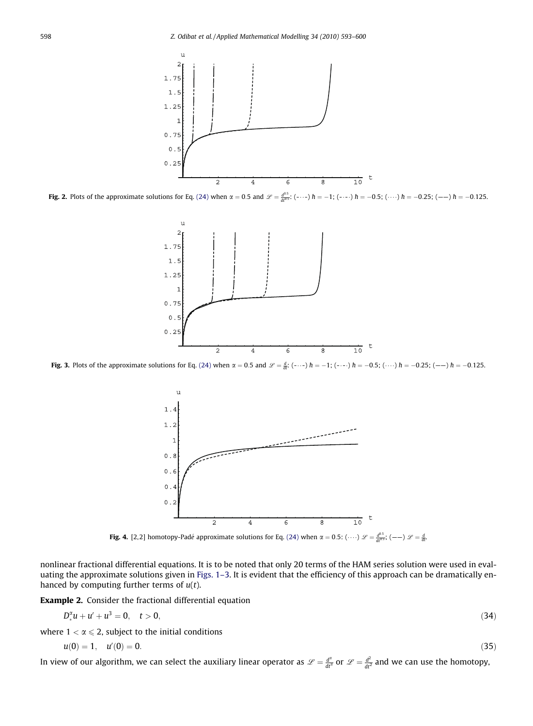<span id="page-5-0"></span>

**Fig. 2.** Plots of the approximate solutions for Eq. [\(24\)](#page-3-0) when  $\alpha = 0.5$  and  $\mathcal{L} = \frac{d^{0.5}}{dt^{0.5}}$ : (----)  $\hbar = -1$ ; (----)  $\hbar = -0.5$ ; (---)  $\hbar = -0.25$ ; (---)  $\hbar = -0.125$ .



**Fig. 3.** Plots of the approximate solutions for Eq. [\(24\)](#page-3-0) when  $\alpha = 0.5$  and  $\mathcal{L} = \frac{d}{dt}$ ; (-...)  $h = -1$ ; (-...)  $h = -0.5$ ; (....)  $h = -0.25$ ; (---)  $h = -0.125$ .



**Fig. 4.** [2,2] homotopy-Padé approximate solutions for Eq. [\(24\)](#page-3-0) when  $\alpha = 0.5$ : ( $\dots$ )  $\mathscr{L} = \frac{d^{0.5}}{dt^{0.5}}$ ; ( $-\rightarrow$  )  $\mathscr{L} = \frac{d}{dt}$ 

nonlinear fractional differential equations. It is to be noted that only 20 terms of the HAM series solution were used in evaluating the approximate solutions given in [Figs. 1–3](#page-4-0). It is evident that the efficiency of this approach can be dramatically enhanced by computing further terms of  $u(t)$ .

Example 2. Consider the fractional differential equation

$$
D_*^{\alpha}u + u' + u^3 = 0, \quad t > 0,
$$
\n(34)

where  $1 < \alpha \leq 2$ , subject to the initial conditions

$$
u(0) = 1, \quad u'(0) = 0. \tag{35}
$$

In view of our algorithm, we can select the auxiliary linear operator as  $\mathscr{L}=\frac{d^2}{dt^2}$  or  $\mathscr{L}=\frac{d^2}{dt^2}$  and we can use the homotopy,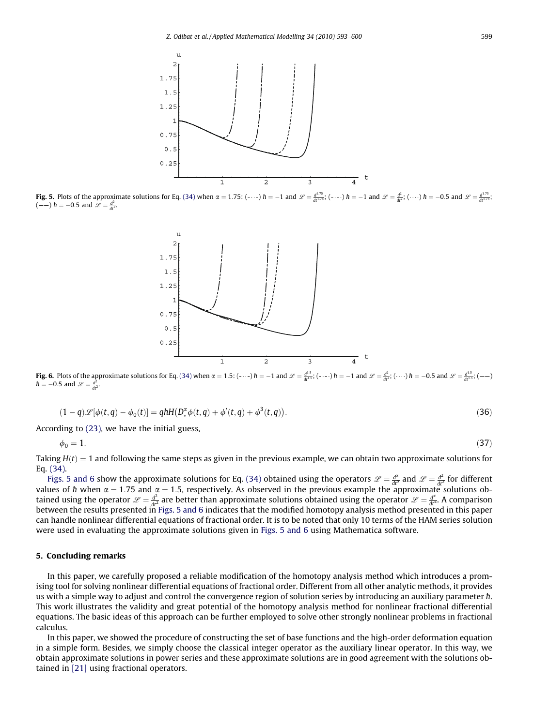

**Fig. 5.** Plots of the approximate solutions for Eq. [\(34\)](#page-5-0) when  $\alpha = 1.75$ : (-..-)  $h = -1$  and  $\mathcal{L} = \frac{d^{1.75}}{dt^{1.75}}$ ; (-..-)  $h = -1$  and  $\mathcal{L} = \frac{d^2}{dt^2}$ ; (....)  $h = -0.5$  and  $\mathcal{L} = \frac{d^{1.75}}{dt^{1.75}}$ ;  $(--) h = -0.5$  and  $\mathscr{L} = \frac{d^2}{dt^2}$ .



**Fig. 6.** Plots of the approximate solutions for Eq. [\(34\)](#page-5-0) when  $\alpha = 1.5$ : (-..-)  $\hbar = -1$  and  $\mathscr{L} = \frac{d^{1.5}}{dt^{1.5}}$ ; (-...)  $\hbar = -1$  and  $\mathscr{L} = \frac{d^{2}}{dt^{2}}$ ; (....)  $\hbar = -0.5$  and  $\mathscr{L} = \frac{d^{1.5}}{dt^{1.5}}$ ; (---)  $\hbar = -0.5$  and  $\mathscr{L} = \frac{d^2}{dt^2}$ .

$$
(1-q)\mathscr{L}[\phi(t,q) - \phi_0(t)] = qhH(D_*^{\alpha}\phi(t,q) + \phi'(t,q) + \phi^3(t,q)).
$$
\n(36)

According to [\(23\)](#page-3-0), we have the initial guess,

$$
\phi_0 = 1. \tag{37}
$$

Taking  $H(t) = 1$  and following the same steps as given in the previous example, we can obtain two approximate solutions for Eq. [\(34\)](#page-5-0).

Figs. 5 and 6 show the approximate solutions for Eq. [\(34\)](#page-5-0) obtained using the operators  $\mathscr{L} = \frac{d^2}{dt^2}$  and  $\mathscr{L} = \frac{d^2}{dt^2}$  for different values of  $\hbar$  when  $\alpha = 1.75$  and  $\alpha = 1.5$ , respectively. As observed in the previous example the approximate solutions obtained using the operator  $\mathcal{L} = \frac{d^2}{dt^2}$  are better than approximate solutions obtained using the operator  $\mathcal{L} = \frac{d^2}{dt^2}$ . A comparison<br>between the results presented in Figs. 5 and 6 indicates that the modifie can handle nonlinear differential equations of fractional order. It is to be noted that only 10 terms of the HAM series solution were used in evaluating the approximate solutions given in Figs. 5 and 6 using Mathematica software.

#### 5. Concluding remarks

In this paper, we carefully proposed a reliable modification of the homotopy analysis method which introduces a promising tool for solving nonlinear differential equations of fractional order. Different from all other analytic methods, it provides us with a simple way to adjust and control the convergence region of solution series by introducing an auxiliary parameter  $\hbar$ . This work illustrates the validity and great potential of the homotopy analysis method for nonlinear fractional differential equations. The basic ideas of this approach can be further employed to solve other strongly nonlinear problems in fractional calculus.

In this paper, we showed the procedure of constructing the set of base functions and the high-order deformation equation in a simple form. Besides, we simply choose the classical integer operator as the auxiliary linear operator. In this way, we obtain approximate solutions in power series and these approximate solutions are in good agreement with the solutions obtained in [\[21\]](#page-7-0) using fractional operators.